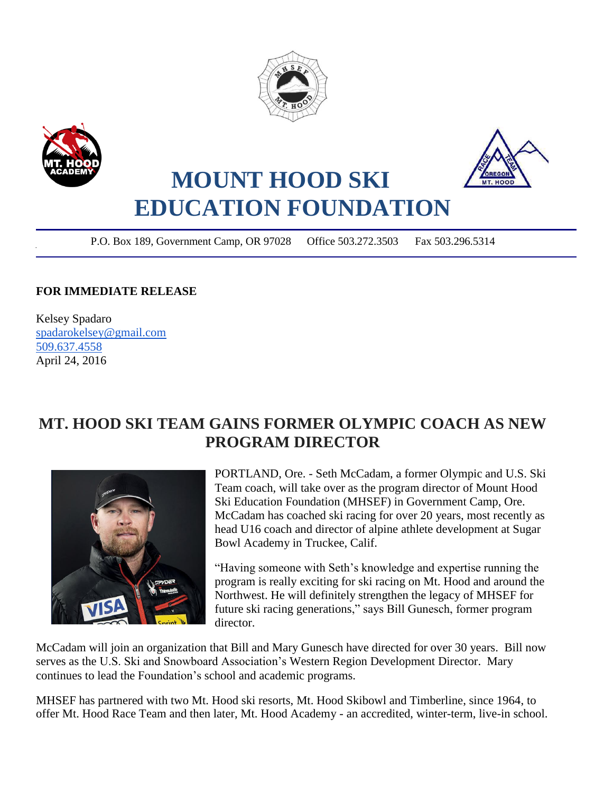





## **MOUNT HOOD SKI EDUCATION FOUNDATION**

P.O. Box 189, Government Camp, OR 97028 Office 503.272.3503 Fax 503.296.5314

ł

## **FOR IMMEDIATE RELEASE**

Kelsey Spadaro [spadarokelsey@gmail.com](mailto:spadarokelsey@gmail.com) [509.637.4558](tel:509.637.4558) April 24, 2016

## **MT. HOOD SKI TEAM GAINS FORMER OLYMPIC COACH AS NEW PROGRAM DIRECTOR**



PORTLAND, Ore. - Seth McCadam, a former Olympic and U.S. Ski Team coach, will take over as the program director of Mount Hood Ski Education Foundation (MHSEF) in Government Camp, Ore. McCadam has coached ski racing for over 20 years, most recently as head U16 coach and director of alpine athlete development at Sugar Bowl Academy in Truckee, Calif.

"Having someone with Seth's knowledge and expertise running the program is really exciting for ski racing on Mt. Hood and around the Northwest. He will definitely strengthen the legacy of MHSEF for future ski racing generations," says Bill Gunesch, former program director.

McCadam will join an organization that Bill and Mary Gunesch have directed for over 30 years. Bill now serves as the U.S. Ski and Snowboard Association's Western Region Development Director. Mary continues to lead the Foundation's school and academic programs.

MHSEF has partnered with two Mt. Hood ski resorts, Mt. Hood Skibowl and Timberline, since 1964, to offer Mt. Hood Race Team and then later, Mt. Hood Academy - an accredited, winter-term, live-in school.